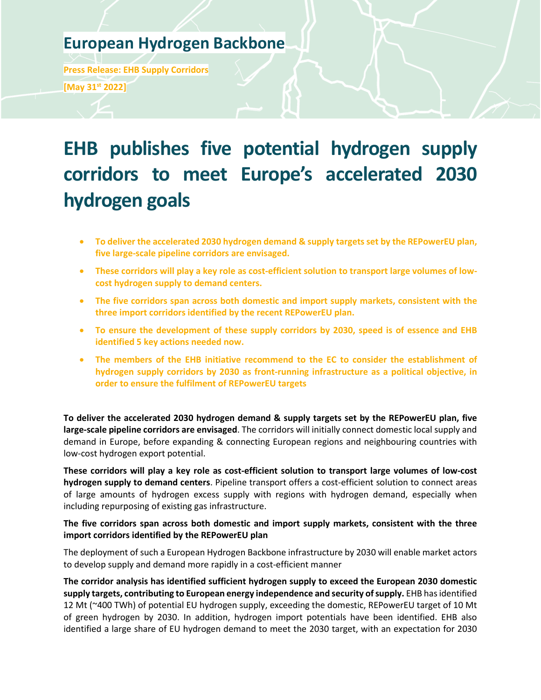# **European Hydrogen Backbone**

**Press Release: EHB Supply Corridors [May 31st 2022]**

# **EHB publishes five potential hydrogen supply corridors to meet Europe's accelerated 2030 hydrogen goals**

- **To deliver the accelerated 2030 hydrogen demand & supply targets set by the REPowerEU plan, five large-scale pipeline corridors are envisaged.**
- **These corridors will play a key role as cost-efficient solution to transport large volumes of lowcost hydrogen supply to demand centers.**
- **The five corridors span across both domestic and import supply markets, consistent with the three import corridors identified by the recent REPowerEU plan.**
- **To ensure the development of these supply corridors by 2030, speed is of essence and EHB identified 5 key actions needed now.**
- **The members of the EHB initiative recommend to the EC to consider the establishment of hydrogen supply corridors by 2030 as front-running infrastructure as a political objective, in order to ensure the fulfilment of REPowerEU targets**

**To deliver the accelerated 2030 hydrogen demand & supply targets set by the REPowerEU plan, five large-scale pipeline corridors are envisaged**. The corridors will initially connect domestic local supply and demand in Europe, before expanding & connecting European regions and neighbouring countries with low-cost hydrogen export potential.

**These corridors will play a key role as cost-efficient solution to transport large volumes of low-cost hydrogen supply to demand centers**. Pipeline transport offers a cost-efficient solution to connect areas of large amounts of hydrogen excess supply with regions with hydrogen demand, especially when including repurposing of existing gas infrastructure.

# **The five corridors span across both domestic and import supply markets, consistent with the three import corridors identified by the REPowerEU plan**

The deployment of such a European Hydrogen Backbone infrastructure by 2030 will enable market actors to develop supply and demand more rapidly in a cost-efficient manner

**The corridor analysis has identified sufficient hydrogen supply to exceed the European 2030 domestic supply targets, contributing to European energy independence and security of supply.** EHB has identified 12 Mt (~400 TWh) of potential EU hydrogen supply, exceeding the domestic, REPowerEU target of 10 Mt of green hydrogen by 2030. In addition, hydrogen import potentials have been identified. EHB also identified a large share of EU hydrogen demand to meet the 2030 target, with an expectation for 2030